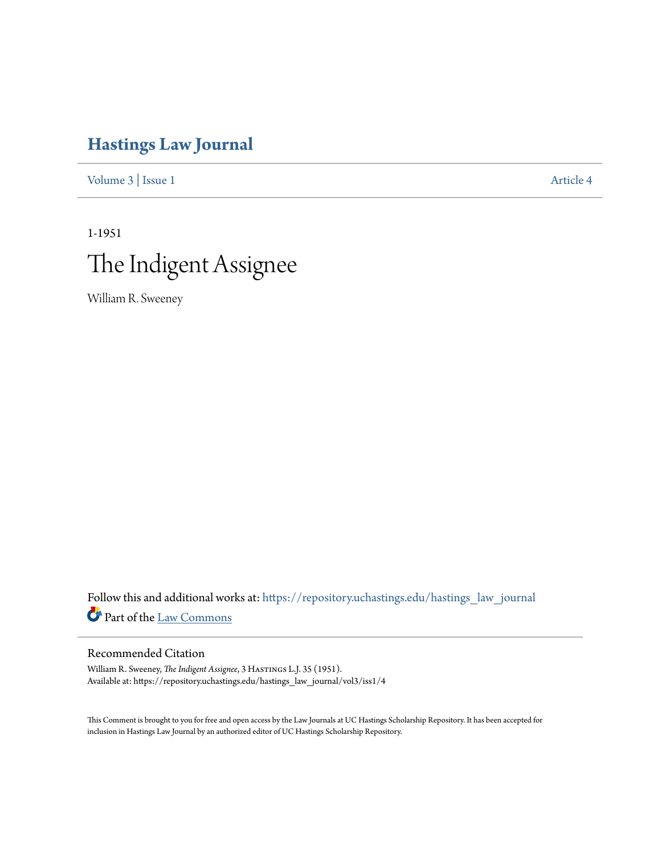# **[Hastings Law Journal](https://repository.uchastings.edu/hastings_law_journal?utm_source=repository.uchastings.edu%2Fhastings_law_journal%2Fvol3%2Fiss1%2F4&utm_medium=PDF&utm_campaign=PDFCoverPages)**

[Volume 3](https://repository.uchastings.edu/hastings_law_journal/vol3?utm_source=repository.uchastings.edu%2Fhastings_law_journal%2Fvol3%2Fiss1%2F4&utm_medium=PDF&utm_campaign=PDFCoverPages) | [Issue 1](https://repository.uchastings.edu/hastings_law_journal/vol3/iss1?utm_source=repository.uchastings.edu%2Fhastings_law_journal%2Fvol3%2Fiss1%2F4&utm_medium=PDF&utm_campaign=PDFCoverPages) [Article 4](https://repository.uchastings.edu/hastings_law_journal/vol3/iss1/4?utm_source=repository.uchastings.edu%2Fhastings_law_journal%2Fvol3%2Fiss1%2F4&utm_medium=PDF&utm_campaign=PDFCoverPages)

# 1-1951 The Indigent Assignee

William R. Sweeney

Follow this and additional works at: [https://repository.uchastings.edu/hastings\\_law\\_journal](https://repository.uchastings.edu/hastings_law_journal?utm_source=repository.uchastings.edu%2Fhastings_law_journal%2Fvol3%2Fiss1%2F4&utm_medium=PDF&utm_campaign=PDFCoverPages) Part of the [Law Commons](http://network.bepress.com/hgg/discipline/578?utm_source=repository.uchastings.edu%2Fhastings_law_journal%2Fvol3%2Fiss1%2F4&utm_medium=PDF&utm_campaign=PDFCoverPages)

## Recommended Citation

William R. Sweeney, *The Indigent Assignee*, 3 Hastings L.J. 35 (1951). Available at: https://repository.uchastings.edu/hastings\_law\_journal/vol3/iss1/4

This Comment is brought to you for free and open access by the Law Journals at UC Hastings Scholarship Repository. It has been accepted for inclusion in Hastings Law Journal by an authorized editor of UC Hastings Scholarship Repository.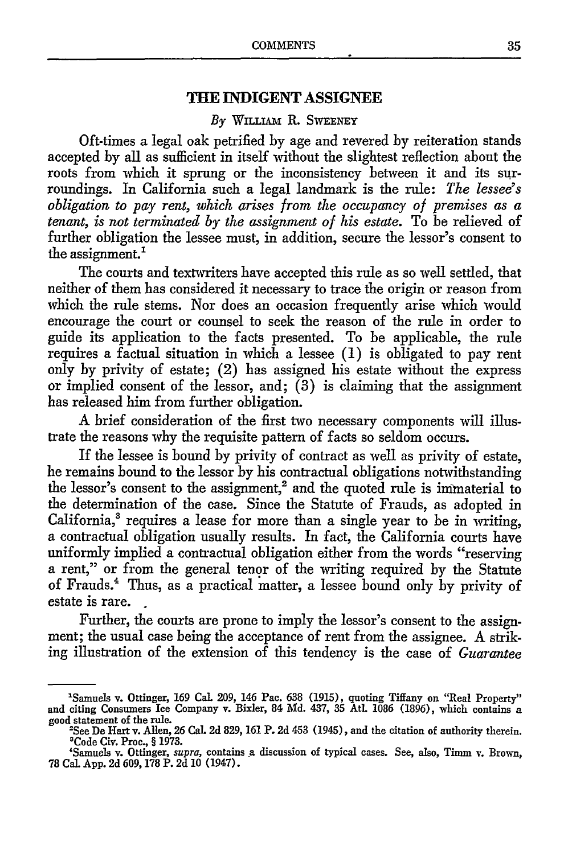### **THE INDIGENT ASSIGNEE**

#### *By* WilLim R. **SWEENEY**

Oft-times a legal oak petrified **by** age and revered by reiteration stands accepted by all as sufficient in itself without the slightest reflection about the roots from which it sprung or the inconsistency between it and its surroundings. In California such a legal landmark is the rule: *The lessee's obligation to pay rent, which arises from the occupancy of premises as a tenant, is not terminated by the assignment of his estate.* To be relieved of further obligation the lessee must, in addition, secure the lessor's consent to the assignment.<sup>1</sup>

The courts and textwriters have accepted this rule as so well settled, that neither of them has considered it necessary to trace the origin or reason from which the rule stems. Nor does an occasion frequently arise which would encourage the court or counsel to seek the reason of the rule in order to guide its application to the facts presented. To be applicable, the rule requires a factual situation in which a lessee (1) is obligated to pay rent only by privity of estate; (2) has assigned his estate without the express or implied consent of the lessor, and; (3) is claiming that the assignment has released him from further obligation.

A brief consideration of the first two necessary components will illustrate the reasons why the requisite pattern of facts so seldom occurs.

If the lessee is bound by privity of contract as well as privity of estate, he remains bound to the lessor by his contractual obligations notwithstanding the lessor's consent to the assignment,<sup>2</sup> and the quoted rule is immaterial to the determination of the case. Since the Statute of Frauds, as adopted in  $California<sub>3</sub><sup>3</sup> requires a lease for more than a single year to be in writing,$ a contractual obligation usually results. In fact, the California courts have uniformly implied a contractual obligation either from the words "reserving a rent," or from the general tenor of the writing required by the Statute of Frauds.' Thus, as a practical matter, a lessee bound only by privity of estate is rare.

Further, the courts are prone to imply the lessor's consent to the assignment; the usual case being the acceptance of rent from the assignee. A striking illustration of the extension of this tendency is the case of *Guarantee*

<sup>&#</sup>x27;Samuels v. Ottinger, 169 Cal. 209, 146 Pac. 638 (1915), quoting Tiffany on "Real Property" and citing Consumers Ice Company v. Bixler, 84 Md. 437, 35 Atl. 1086 (1896), which contains a good statement of the rule.<br>
"See De Hart v. Allen, 26 Cal. 2d 829, 161 P. 2d 453 (1945), and the citation of authority therein.

<sup>&</sup>lt;sup>2</sup>See De Hart v. Allen, 26 Cal. 2d 829, 161 P. 2d 453 (1945), and the citation of authority therein.<br><sup>3</sup>Code Civ. Proc., § 1973.

<sup>&#</sup>x27;Samuels v. Ottinger, *supra,* contains a discussion of typical cases. See, also, Timm v. Brown, 78 Cal App. 2d 609, 178 P. 2d 10 (1947).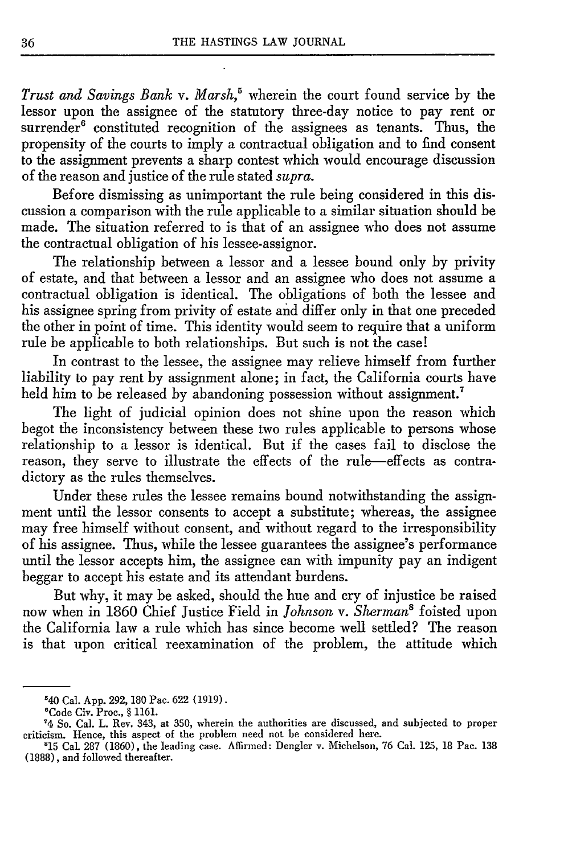*Trust and Savings Bank v. Marsh,'* wherein the court found service by the lessor upon the assignee of the statutory three-day notice to pay rent or surrender<sup>6</sup> constituted recognition of the assignees as tenants. Thus, the propensity of the courts to imply a contractual obligation and to find consent to the assignment prevents a sharp contest which would encourage discussion of the reason and justice of the rule stated *supra.*

Before dismissing as unimportant the rule being considered in this discussion a comparison with the rule applicable to a similar situation should be made. The situation referred to is that of an assignee who does not assume the contractual obligation of his lessee-assignor.

The relationship between a lessor and a lessee bound only by privity of estate, and that between a lessor and an assignee who does not assume a contractual obligation is identical. The obligations of both the lessee and his assignee spring from privity of estate and differ only in that one preceded the other in point of time. This identity would seem to require that a uniform rule be applicable to both relationships. But such is not the case!

In contrast to the lessee, the assignee may relieve himself from further liability to pay rent by assignment alone; in fact, the California courts have held him to be released by abandoning possession without assignment.<sup>7</sup>

The light of judicial opinion does not shine upon the reason which begot the inconsistency between these two rules applicable to persons whose relationship to a lessor is identical. But if the cases fail to disclose the reason, they serve to illustrate the effects of the rule-effects as contradictory as the rules themselves.

Under these rules the lessee remains bound notwithstanding the assignment until the lessor consents to accept a substitute; whereas, the assignee may free himself without consent, and without regard to the irresponsibility of his assignee. Thus, while the lessee guarantees the assignee's performance until the lessor accepts him, the assignee can with impunity pay an indigent beggar to accept his estate and its attendant burdens.

But why, it may be asked, should the hue and cry of injustice be raised now when in 1860 Chief Justice Field in *Johnson v. Sherman'* foisted upon the California law a rule which has since become well settled? The reason is that upon critical reexamination of the problem, the attitude which

<sup>&#</sup>x27;40 Cal. **App. 292, 180** Pac. **622 (1919).** <sup>6</sup>

Code Civ. Proc., **§ 1161.**

**<sup>&#</sup>x27;4** So. Cal. L. Rev. 343, at **350,** wherein the authorities are discussed, and subjected to proper criticism. Hence, this aspect of the problem need not be considered here.

**<sup>&#</sup>x27;15** Cal **287 (1860),** the leading case. Affirmed: Dengler v. Michelson, **76** Cal. **125, 18** Pac. **138 (1888),** and followed thereafter.